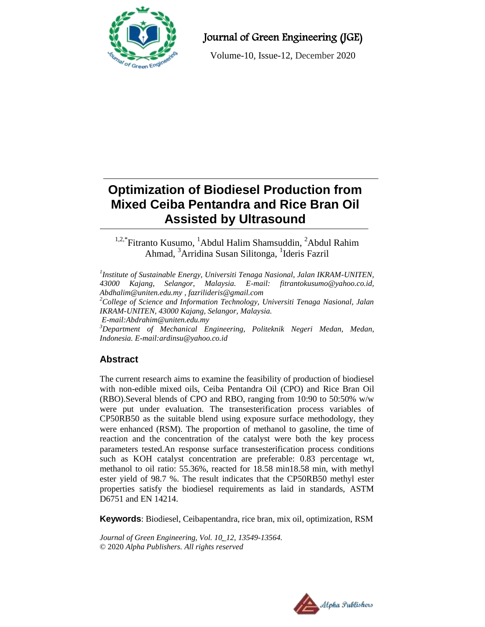

Journal of Green Engineering (JGE)

Volume-10, Issue-12, December 2020

# **Optimization of Biodiesel Production from Mixed Ceiba Pentandra and Rice Bran Oil Assisted by Ultrasound**

<sup>1,2,\*</sup>Fitranto Kusumo, <sup>1</sup>Abdul Halim Shamsuddin, <sup>2</sup>Abdul Rahim Ahmad, <sup>3</sup>Arridina Susan Silitonga, <sup>1</sup>Ideris Fazril

*1 Institute of Sustainable Energy, Universiti Tenaga Nasional, Jalan IKRAM-UNITEN, 43000 Kajang, Selangor, Malaysia. E-mail: [fitrantokusumo@yahoo.co.id,](mailto:fitrantokusumo@yahoo.co.id,) [Abdhalim@uniten.edu.my](mailto:Abdhalim@uniten.edu.my) [, fazrilideris@gmail.com](mailto:fazrilideris@gmail.com) <sup>2</sup>College of Science and Information Technology, Universiti Tenaga Nasional, Jalan* 

*IKRAM-UNITEN, 43000 Kajang, Selangor, Malaysia.*

*E-mail[:Abdrahim@uniten.edu.my](mailto:Abdrahim@uniten.edu.my)*

*<sup>3</sup>Department of Mechanical Engineering, Politeknik Negeri Medan, Medan, Indonesia. E-mail[:ardinsu@yahoo.co.id](mailto:ardinsu@yahoo.co.id)* 

## **Abstract**

The current research aims to examine the feasibility of production of biodiesel with non-edible mixed oils, Ceiba Pentandra Oil (CPO) and Rice Bran Oil (RBO).Several blends of CPO and RBO, ranging from 10:90 to 50:50% w/w were put under evaluation. The transesterification process variables of CP50RB50 as the suitable blend using exposure surface methodology, they were enhanced (RSM). The proportion of methanol to gasoline, the time of reaction and the concentration of the catalyst were both the key process parameters tested.An response surface transesterification process conditions such as KOH catalyst concentration are preferable: 0.83 percentage wt, methanol to oil ratio: 55.36%, reacted for 18.58 min18.58 min, with methyl ester yield of 98.7 %. The result indicates that the CP50RB50 methyl ester properties satisfy the biodiesel requirements as laid in standards, ASTM D6751 and EN 14214.

**Keywords**: Biodiesel, Ceibapentandra, rice bran, mix oil, optimization, RSM

*Journal of Green Engineering, Vol. 10\_12, 13549-13564.* © 2020 *Alpha Publishers. All rights reserved*

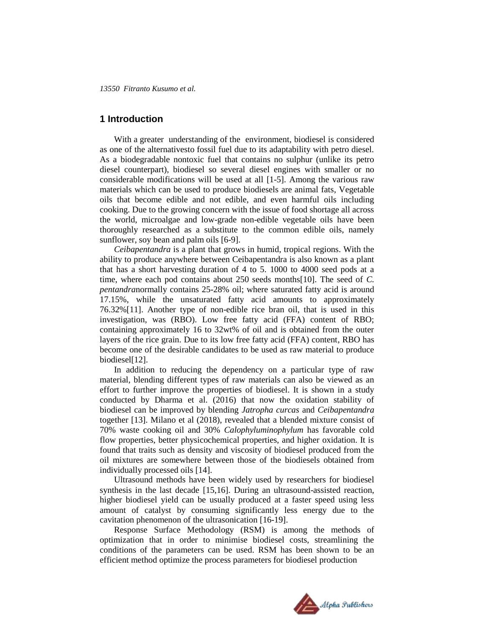## **1 Introduction**

With a greater understanding of the environment, biodiesel is considered as one of the alternativesto fossil fuel due to its adaptability with petro diesel. As a biodegradable nontoxic fuel that contains no sulphur (unlike its petro diesel counterpart), biodiesel so several diesel engines with smaller or no considerable modifications will be used at all [1-5]. Among the various raw materials which can be used to produce biodiesels are animal fats, Vegetable oils that become edible and not edible, and even harmful oils including cooking. Due to the growing concern with the issue of food shortage all across the world, microalgae and low-grade non-edible vegetable oils have been thoroughly researched as a substitute to the common edible oils, namely sunflower, soy bean and palm oils [6-9].

*Ceibapentandra* is a plant that grows in humid, tropical regions. With the ability to produce anywhere between Ceibapentandra is also known as a plant that has a short harvesting duration of 4 to 5. 1000 to 4000 seed pods at a time, where each pod contains about 250 seeds months[10]. The seed of *C. pentandra*normally contains 25-28% oil; where saturated fatty acid is around 17.15%, while the unsaturated fatty acid amounts to approximately 76.32%[11]. Another type of non-edible rice bran oil, that is used in this investigation, was (RBO). Low free fatty acid (FFA) content of RBO; containing approximately 16 to 32wt% of oil and is obtained from the outer layers of the rice grain. Due to its low free fatty acid (FFA) content, RBO has become one of the desirable candidates to be used as raw material to produce biodiesel[12].

In addition to reducing the dependency on a particular type of raw material, blending different types of raw materials can also be viewed as an effort to further improve the properties of biodiesel. It is shown in a study conducted by Dharma et al. (2016) that now the oxidation stability of biodiesel can be improved by blending *Jatropha curcas* and *Ceibapentandra* together [13]. Milano et al (2018), revealed that a blended mixture consist of 70% waste cooking oil and 30% *Calophyluminophylum* has favorable cold flow properties, better physicochemical properties, and higher oxidation. It is found that traits such as density and viscosity of biodiesel produced from the oil mixtures are somewhere between those of the biodiesels obtained from individually processed oils [14].

Ultrasound methods have been widely used by researchers for biodiesel synthesis in the last decade [15,16]. During an ultrasound-assisted reaction, higher biodiesel yield can be usually produced at a faster speed using less amount of catalyst by consuming significantly less energy due to the cavitation phenomenon of the ultrasonication [16-19].

Response Surface Methodology (RSM) is among the methods of optimization that in order to minimise biodiesel costs, streamlining the conditions of the parameters can be used. RSM has been shown to be an efficient method optimize the process parameters for biodiesel production

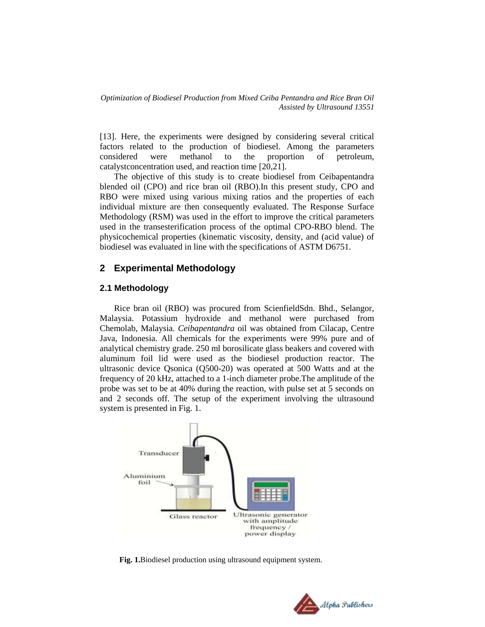[13]. Here, the experiments were designed by considering several critical factors related to the production of biodiesel. Among the parameters considered were methanol to the proportion of petroleum, catalystconcentration used, and reaction time [20,21].

The objective of this study is to create biodiesel from Ceibapentandra blended oil (CPO) and rice bran oil (RBO).In this present study, CPO and RBO were mixed using various mixing ratios and the properties of each individual mixture are then consequently evaluated. The Response Surface Methodology (RSM) was used in the effort to improve the critical parameters used in the transesterification process of the optimal CPO-RBO blend. The physicochemical properties (kinematic viscosity, density, and (acid value) of biodiesel was evaluated in line with the specifications of ASTM D6751.

## **2 Experimental Methodology**

#### **2.1 Methodology**

Rice bran oil (RBO) was procured from ScienfieldSdn. Bhd., Selangor, Malaysia. Potassium hydroxide and methanol were purchased from Chemolab, Malaysia. *Ceibapentandra* oil was obtained from Cilacap, Centre Java, Indonesia. All chemicals for the experiments were 99% pure and of analytical chemistry grade. 250 ml borosilicate glass beakers and covered with aluminum foil lid were used as the biodiesel production reactor. The ultrasonic device Qsonica (Q500-20) was operated at 500 Watts and at the frequency of 20 kHz, attached to a 1-inch diameter probe.The amplitude of the probe was set to be at 40% during the reaction, with pulse set at 5 seconds on and 2 seconds off. The setup of the experiment involving the ultrasound system is presented in Fig. 1.



**Fig. 1.**Biodiesel production using ultrasound equipment system.

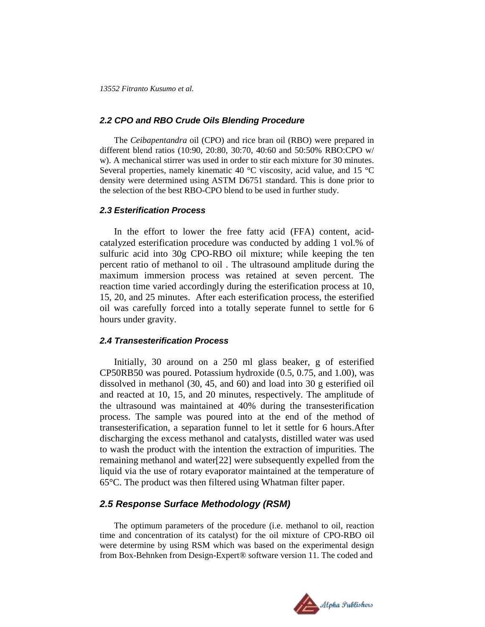#### *2.2 CPO and RBO Crude Oils Blending Procedure*

The *Ceibapentandra* oil (CPO) and rice bran oil (RBO) were prepared in different blend ratios (10:90, 20:80, 30:70, 40:60 and 50:50% RBO:CPO w/ w). A mechanical stirrer was used in order to stir each mixture for 30 minutes. Several properties, namely kinematic 40  $\degree$ C viscosity, acid value, and 15  $\degree$ C density were determined using ASTM D6751 standard. This is done prior to the selection of the best RBO-CPO blend to be used in further study.

## *2.3 Esterification Process*

In the effort to lower the free fatty acid (FFA) content, acidcatalyzed esterification procedure was conducted by adding 1 vol.% of sulfuric acid into 30g CPO-RBO oil mixture; while keeping the ten percent ratio of methanol to oil . The ultrasound amplitude during the maximum immersion process was retained at seven percent. The reaction time varied accordingly during the esterification process at 10, 15, 20, and 25 minutes. After each esterification process, the esterified oil was carefully forced into a totally seperate funnel to settle for 6 hours under gravity.

#### *2.4 Transesterification Process*

Initially, 30 around on a 250 ml glass beaker, g of esterified CP50RB50 was poured. Potassium hydroxide (0.5, 0.75, and 1.00), was dissolved in methanol (30, 45, and 60) and load into 30 g esterified oil and reacted at 10, 15, and 20 minutes, respectively. The amplitude of the ultrasound was maintained at 40% during the transesterification process. The sample was poured into at the end of the method of transesterification, a separation funnel to let it settle for 6 hours.After discharging the excess methanol and catalysts, distilled water was used to wash the product with the intention the extraction of impurities. The remaining methanol and water[22] were subsequently expelled from the liquid via the use of rotary evaporator maintained at the temperature of 65°C. The product was then filtered using Whatman filter paper.

## *2.5 Response Surface Methodology (RSM)*

The optimum parameters of the procedure (i.e. methanol to oil, reaction time and concentration of its catalyst) for the oil mixture of CPO-RBO oil were determine by using RSM which was based on the experimental design from Box-Behnken from Design-Expert® software version 11. The coded and

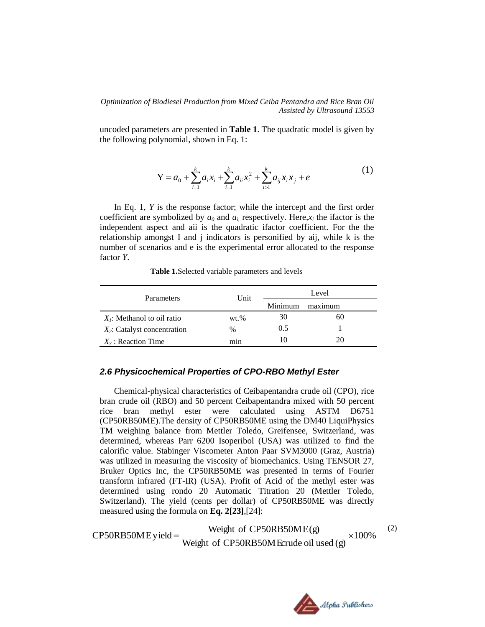uncoded parameters are presented in **Table 1**. The quadratic model is given by the following polynomial, shown in Eq. 1:

$$
Y = a_0 + \sum_{i=1}^{k} a_i x_i + \sum_{i=1}^{k} a_{ii} x_i^2 + \sum_{i>1}^{k} a_{ij} x_i x_j + e
$$
 (1)

In Eq. 1, *Y* is the response factor; while the intercept and the first order coefficient are symbolized by  $a_0$  and  $a_i$ , respectively. Here,  $x_i$  the ifactor is the independent aspect and aii is the quadratic ifactor coefficient. For the the relationship amongst I and j indicators is personified by aij, while k is the number of scenarios and e is the experimental error allocated to the response factor *Y*.

| <b>Parameters</b>              | Unit     | Level   |         |  |
|--------------------------------|----------|---------|---------|--|
|                                |          | Minimum | maximum |  |
| $X_i$ : Methanol to oil ratio  | $wt. \%$ | 30      | 60      |  |
| $X_2$ : Catalyst concentration | $\%$     | 0.5     |         |  |
| $X_3$ : Reaction Time          | mın      | I ()    | 20      |  |

 **Table 1.**Selected variable parameters and levels

#### *2.6 Physicochemical Properties of CPO-RBO Methyl Ester*

Chemical-physical characteristics of Ceibapentandra crude oil (CPO), rice bran crude oil (RBO) and 50 percent Ceibapentandra mixed with 50 percent rice bran methyl ester were calculated using ASTM D6751 (CP50RB50ME).The density of CP50RB50ME using the DM40 LiquiPhysics TM weighing balance from Mettler Toledo, Greifensee, Switzerland, was determined, whereas Parr 6200 Isoperibol (USA) was utilized to find the calorific value. Stabinger Viscometer Anton Paar SVM3000 (Graz, Austria) was utilized in measuring the viscosity of biomechanics. Using TENSOR 27, Bruker Optics Inc, the CP50RB50ME was presented in terms of Fourier transform infrared (FT-IR) (USA). Profit of Acid of the methyl ester was determined using rondo 20 Automatic Titration 20 (Mettler Toledo, Switzerland). The yield (cents per dollar) of CP50RB50ME was directly measured using the formula on **Eq. 2[23]**,[24]:

CP50RB50ME yield = 
$$
\frac{\text{Weight of CP50RB50ME(g)}}{\text{Weight of CP50RB50M Erude oil used (g)}} \times 100\%
$$
 (2)

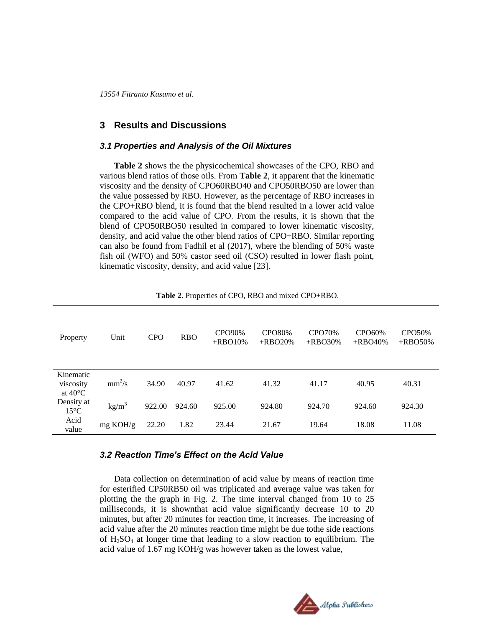## **3 Results and Discussions**

#### *3.1 Properties and Analysis of the Oil Mixtures*

**Table 2** shows the the physicochemical showcases of the CPO, RBO and various blend ratios of those oils. From **Table 2**, it apparent that the kinematic viscosity and the density of CPO60RBO40 and CPO50RBO50 are lower than the value possessed by RBO. However, as the percentage of RBO increases in the CPO+RBO blend, it is found that the blend resulted in a lower acid value compared to the acid value of CPO. From the results, it is shown that the blend of CPO50RBO50 resulted in compared to lower kinematic viscosity, density, and acid value the other blend ratios of CPO+RBO. Similar reporting can also be found from Fadhil et al (2017), where the blending of 50% waste fish oil (WFO) and 50% castor seed oil (CSO) resulted in lower flash point, kinematic viscosity, density, and acid value [23].

| Property                                    | Unit              | <b>CPO</b> | <b>RBO</b> | CPO90%<br>$+$ RBO10% | <b>CPO80%</b><br>$+$ RBO20% | CPO70%<br>$+$ RBO30% | CPO60%<br>$+$ RBO40% | CPO50%<br>$+$ RBO50% |
|---------------------------------------------|-------------------|------------|------------|----------------------|-----------------------------|----------------------|----------------------|----------------------|
| Kinematic<br>viscosity<br>at $40^{\circ}$ C | $mm^2/s$          | 34.90      | 40.97      | 41.62                | 41.32                       | 41.17                | 40.95                | 40.31                |
| Density at<br>$15^{\circ}$ C                | kg/m <sup>3</sup> | 922.00     | 924.60     | 925.00               | 924.80                      | 924.70               | 924.60               | 924.30               |
| Acid<br>value                               | mg KOH/g          | 22.20      | 1.82       | 23.44                | 21.67                       | 19.64                | 18.08                | 11.08                |

 **Table 2.** Properties of CPO, RBO and mixed CPO+RBO.

### *3.2 Reaction Time's Effect on the Acid Value*

Data collection on determination of acid value by means of reaction time for esterified CP50RB50 oil was triplicated and average value was taken for plotting the the graph in Fig. 2. The time interval changed from 10 to 25 milliseconds, it is shownthat acid value significantly decrease 10 to 20 minutes, but after 20 minutes for reaction time, it increases. The increasing of acid value after the 20 minutes reaction time might be due tothe side reactions of  $H_2SO_4$  at longer time that leading to a slow reaction to equilibrium. The acid value of 1.67 mg KOH/g was however taken as the lowest value,

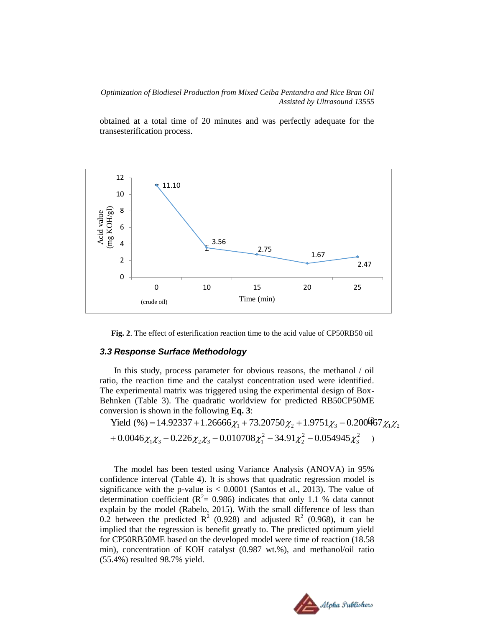obtained at a total time of 20 minutes and was perfectly adequate for the transesterification process.



**Fig. 2**. The effect of esterification reaction time to the acid value of CP50RB50 oil

#### *3.3 Response Surface Methodology*

In this study, process parameter for obvious reasons, the methanol / oil ratio, the reaction time and the catalyst concentration used were identified. The experimental matrix was triggered using the experimental design of Box-Behnken (Table 3). The quadratic worldview for predicted RB50CP50ME conversion is shown in the following **Eq. 3**:

2 3 2 2 2  $+0.0046\chi_1\chi_3-0.226\chi_2\chi_3-0.010708\chi_1^2-34.91\chi_2^2-0.054945\chi_3^2$  ) Yield (%) = 14.92337 + 1.26666 $\chi_1$  + 73.20750 $\chi_2$  + 1.9751 $\chi_3$  – 0.200467 $\chi_1 \chi_2$ 

The model has been tested using Variance Analysis (ANOVA) in 95% confidence interval (Table 4). It is shows that quadratic regression model is significance with the p-value is  $< 0.0001$  (Santos et al., 2013). The value of determination coefficient ( $R^2$  = 0.986) indicates that only 1.1 % data cannot explain by the model (Rabelo, 2015). With the small difference of less than 0.2 between the predicted  $\mathbb{R}^2$  (0.928) and adjusted  $\mathbb{R}^2$  (0.968), it can be implied that the regression is benefit greatly to. The predicted optimum yield for CP50RB50ME based on the developed model were time of reaction (18.58 min), concentration of KOH catalyst (0.987 wt.%), and methanol/oil ratio (55.4%) resulted 98.7% yield.

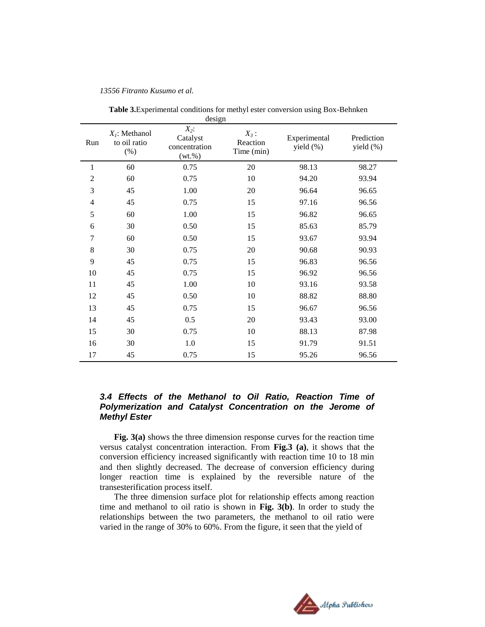|     |                                          | design                                            |                                   |                               |                         |
|-----|------------------------------------------|---------------------------------------------------|-----------------------------------|-------------------------------|-------------------------|
| Run | $X_i$ : Methanol<br>to oil ratio<br>(% ) | $X_2$ :<br>Catalyst<br>concentration<br>$(wt.\%)$ | $X_3$ :<br>Reaction<br>Time (min) | Experimental<br>yield $(\% )$ | Prediction<br>yield (%) |
| 1   | 60                                       | 0.75                                              | 20                                | 98.13                         | 98.27                   |
| 2   | 60                                       | 0.75                                              | 10                                | 94.20                         | 93.94                   |
| 3   | 45                                       | 1.00                                              | 20                                | 96.64                         | 96.65                   |
| 4   | 45                                       | 0.75                                              | 15                                | 97.16                         | 96.56                   |
| 5   | 60                                       | 1.00                                              | 15                                | 96.82                         | 96.65                   |
| 6   | 30                                       | 0.50                                              | 15                                | 85.63                         | 85.79                   |
| 7   | 60                                       | 0.50                                              | 15                                | 93.67                         | 93.94                   |
| 8   | 30                                       | 0.75                                              | 20                                | 90.68                         | 90.93                   |
| 9   | 45                                       | 0.75                                              | 15                                | 96.83                         | 96.56                   |
| 10  | 45                                       | 0.75                                              | 15                                | 96.92                         | 96.56                   |
| 11  | 45                                       | 1.00                                              | 10                                | 93.16                         | 93.58                   |
| 12  | 45                                       | 0.50                                              | 10                                | 88.82                         | 88.80                   |
| 13  | 45                                       | 0.75                                              | 15                                | 96.67                         | 96.56                   |
| 14  | 45                                       | 0.5                                               | 20                                | 93.43                         | 93.00                   |
| 15  | 30                                       | 0.75                                              | 10                                | 88.13                         | 87.98                   |
| 16  | 30                                       | 1.0                                               | 15                                | 91.79                         | 91.51                   |
| 17  | 45                                       | 0.75                                              | 15                                | 95.26                         | 96.56                   |

 **Table 3.**Experimental conditions for methyl ester conversion using Box-Behnken

## *3.4 Effects of the Methanol to Oil Ratio, Reaction Time of Polymerization and Catalyst Concentration on the Jerome of Methyl Ester*

**Fig. 3(a)** shows the three dimension response curves for the reaction time versus catalyst concentration interaction. From **Fig.3 (a)**, it shows that the conversion efficiency increased significantly with reaction time 10 to 18 min and then slightly decreased. The decrease of conversion efficiency during longer reaction time is explained by the reversible nature of the transesterification process itself.

The three dimension surface plot for relationship effects among reaction time and methanol to oil ratio is shown in **Fig. 3(b)**. In order to study the relationships between the two parameters, the methanol to oil ratio were varied in the range of 30% to 60%. From the figure, it seen that the yield of

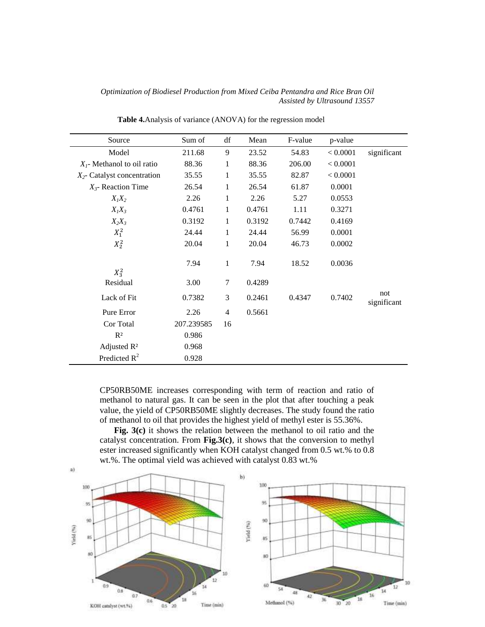| Source                         | Sum of     | df             | Mean   | F-value | p-value  |                    |
|--------------------------------|------------|----------------|--------|---------|----------|--------------------|
| Model                          | 211.68     | 9              | 23.52  | 54.83   | < 0.0001 | significant        |
| $Xl$ - Methanol to oil ratio   | 88.36      | 1              | 88.36  | 206.00  | < 0.0001 |                    |
| $X_2$ - Catalyst concentration | 35.55      | 1              | 35.55  | 82.87   | < 0.0001 |                    |
| $X_3$ - Reaction Time          | 26.54      | 1              | 26.54  | 61.87   | 0.0001   |                    |
| $X_1X_2$                       | 2.26       | 1              | 2.26   | 5.27    | 0.0553   |                    |
| $X_1X_3$                       | 0.4761     | 1              | 0.4761 | 1.11    | 0.3271   |                    |
| $X_2X_3$                       | 0.3192     | 1              | 0.3192 | 0.7442  | 0.4169   |                    |
| $X_1^2$                        | 24.44      | 1              | 24.44  | 56.99   | 0.0001   |                    |
| $X_2^2$                        | 20.04      | 1              | 20.04  | 46.73   | 0.0002   |                    |
| $X_3^2$                        | 7.94       | 1              | 7.94   | 18.52   | 0.0036   |                    |
| Residual                       | 3.00       | 7              | 0.4289 |         |          |                    |
| Lack of Fit                    | 0.7382     | 3              | 0.2461 | 0.4347  | 0.7402   | not<br>significant |
| Pure Error                     | 2.26       | $\overline{4}$ | 0.5661 |         |          |                    |
| Cor Total                      | 207.239585 | 16             |        |         |          |                    |
| $R^2$                          | 0.986      |                |        |         |          |                    |
| Adjusted $R^2$                 | 0.968      |                |        |         |          |                    |
| Predicted $R^2$                | 0.928      |                |        |         |          |                    |

**Table 4.**Analysis of variance (ANOVA) for the regression model

CP50RB50ME increases corresponding with term of reaction and ratio of methanol to natural gas. It can be seen in the plot that after touching a peak value, the yield of CP50RB50ME slightly decreases. The study found the ratio of methanol to oil that provides the highest yield of methyl ester is 55.36%.

**Fig. 3(c)** it shows the relation between the methanol to oil ratio and the catalyst concentration. From **Fig.3(c)**, it shows that the conversion to methyl ester increased significantly when KOH catalyst changed from 0.5 wt.% to 0.8 wt.%. The optimal yield was achieved with catalyst 0.83 wt.%



a).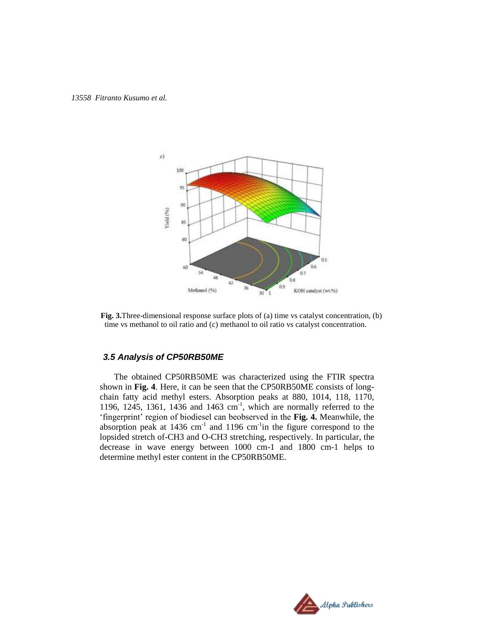

**Fig. 3.**Three-dimensional response surface plots of (a) time vs catalyst concentration, (b) time vs methanol to oil ratio and (c) methanol to oil ratio vs catalyst concentration.

## *3.5 Analysis of CP50RB50ME*

The obtained CP50RB50ME was characterized using the FTIR spectra shown in **Fig. 4**. Here, it can be seen that the CP50RB50ME consists of longchain fatty acid methyl esters. Absorption peaks at 880, 1014, 118, 1170, 1196, 1245, 1361, 1436 and 1463  $cm^{-1}$ , which are normally referred to the 'fingerprint' region of biodiesel can beobserved in the **Fig. 4.** Meanwhile, the absorption peak at  $1436 \text{ cm}^{-1}$  and  $1196 \text{ cm}^{-1}$  in the figure correspond to the lopsided stretch of-CH3 and O-CH3 stretching, respectively. In particular, the decrease in wave energy between 1000 cm-1 and 1800 cm-1 helps to determine methyl ester content in the CP50RB50ME.

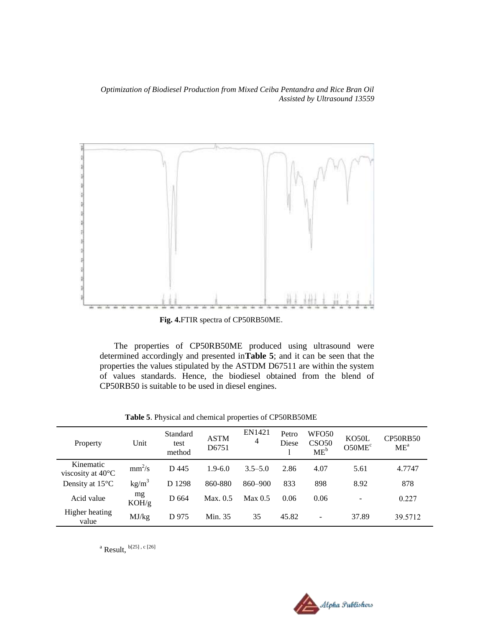

**Fig. 4.**FTIR spectra of CP50RB50ME.

The properties of CP50RB50ME produced using ultrasound were determined accordingly and presented in**Table 5**; and it can be seen that the properties the values stipulated by the ASTDM D67511 are within the system of values standards. Hence, the biodiesel obtained from the blend of CP50RB50 is suitable to be used in diesel engines.

| Property                                 | Unit              | Standard<br>test<br>method | <b>ASTM</b><br>D6751 | EN1421<br>4 | Petro<br>Diese | WFO50<br>CSO <sub>50</sub><br>$ME^b$ | KO50L<br>O50ME <sup>c</sup> | <b>CP50RB50</b><br>ME <sup>a</sup> |
|------------------------------------------|-------------------|----------------------------|----------------------|-------------|----------------|--------------------------------------|-----------------------------|------------------------------------|
| Kinematic<br>viscosity at $40^{\circ}$ C | $mm^2/s$          | D 445                      | $1.9-6.0$            | $3.5 - 5.0$ | 2.86           | 4.07                                 | 5.61                        | 4.7747                             |
| Density at $15^{\circ}$ C                | kg/m <sup>3</sup> | D 1298                     | 860-880              | $860 - 900$ | 833            | 898                                  | 8.92                        | 878                                |
| Acid value                               | mg<br>KOH/g       | D 664                      | Max. 0.5             | Max 0.5     | 0.06           | 0.06                                 | $\overline{\phantom{a}}$    | 0.227                              |
| Higher heating<br>value                  | MJ/kg             | D 975                      | Min. 35              | 35          | 45.82          | ۰                                    | 37.89                       | 39.5712                            |

**Table 5**. Physical and chemical properties of CP50RB50ME

<sup>a</sup> Result,  $b[25]$ , c $[26]$ 

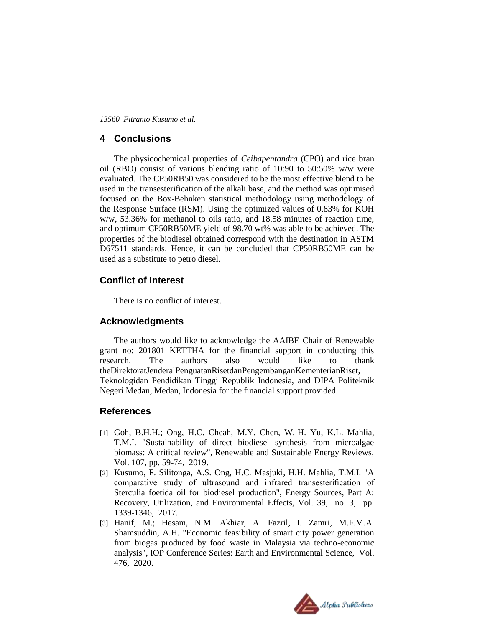## **4 Conclusions**

The physicochemical properties of *Ceibapentandra* (CPO) and rice bran oil (RBO) consist of various blending ratio of 10:90 to 50:50% w/w were evaluated. The CP50RB50 was considered to be the most effective blend to be used in the transesterification of the alkali base, and the method was optimised focused on the Box-Behnken statistical methodology using methodology of the Response Surface (RSM). Using the optimized values of 0.83% for KOH w/w, 53.36% for methanol to oils ratio, and 18.58 minutes of reaction time, and optimum CP50RB50ME yield of 98.70 wt% was able to be achieved. The properties of the biodiesel obtained correspond with the destination in ASTM D67511 standards. Hence, it can be concluded that CP50RB50ME can be used as a substitute to petro diesel.

## **Conflict of Interest**

There is no conflict of interest.

## **Acknowledgments**

The authors would like to acknowledge the AAIBE Chair of Renewable grant no: 201801 KETTHA for the financial support in conducting this research. The authors also would like to thank theDirektoratJenderalPenguatanRisetdanPengembanganKementerianRiset, Teknologidan Pendidikan Tinggi Republik Indonesia, and DIPA Politeknik Negeri Medan, Medan, Indonesia for the financial support provided.

## **References**

- [1] Goh, B.H.H.; Ong, H.C. Cheah, M.Y. Chen, W.-H. Yu, K.L. Mahlia, T.M.I. "Sustainability of direct biodiesel synthesis from microalgae biomass: A critical review", Renewable and Sustainable Energy Reviews, Vol. 107, pp. 59-74, 2019.
- [2] Kusumo, F. Silitonga, A.S. Ong, H.C. Masjuki, H.H. Mahlia, T.M.I. "A comparative study of ultrasound and infrared transesterification of Sterculia foetida oil for biodiesel production", Energy Sources, Part A: Recovery, Utilization, and Environmental Effects, Vol. 39, no. 3, pp. 1339-1346, 2017.
- [3] Hanif, M.; Hesam, N.M. Akhiar, A. Fazril, I. Zamri, M.F.M.A. Shamsuddin, A.H. "Economic feasibility of smart city power generation from biogas produced by food waste in Malaysia via techno-economic analysis", IOP Conference Series: Earth and Environmental Science, Vol. 476, 2020.

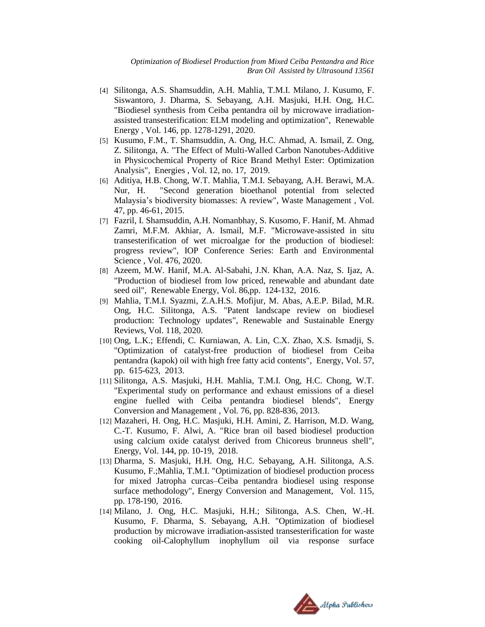- [4] Silitonga, A.S. Shamsuddin, A.H. Mahlia, T.M.I. Milano, J. Kusumo, F. Siswantoro, J. Dharma, S. Sebayang, A.H. Masjuki, H.H. Ong, H.C. "Biodiesel synthesis from Ceiba pentandra oil by microwave irradiationassisted transesterification: ELM modeling and optimization", Renewable Energy , Vol. 146, pp. 1278-1291, 2020.
- [5] Kusumo, F.M., T. Shamsuddin, A. Ong, H.C. Ahmad, A. Ismail, Z. Ong, Z. Silitonga, A. "The Effect of Multi-Walled Carbon Nanotubes-Additive in Physicochemical Property of Rice Brand Methyl Ester: Optimization Analysis", Energies , Vol. 12, no. 17, 2019.
- [6] Aditiya, H.B. Chong, W.T. Mahlia, T.M.I. Sebayang, A.H. Berawi, M.A. Nur, H. "Second generation bioethanol potential from selected Malaysia's biodiversity biomasses: A review", Waste Management , Vol. 47, pp. 46-61, 2015.
- [7] Fazril, I. Shamsuddin, A.H. Nomanbhay, S. Kusomo, F. Hanif, M. Ahmad Zamri, M.F.M. Akhiar, A. Ismail, M.F. "Microwave-assisted in situ transesterification of wet microalgae for the production of biodiesel: progress review", IOP Conference Series: Earth and Environmental Science , Vol. 476, 2020.
- [8] Azeem, M.W. Hanif, M.A. Al-Sabahi, J.N. Khan, A.A. Naz, S. Ijaz, A. "Production of biodiesel from low priced, renewable and abundant date seed oil", Renewable Energy, Vol. 86,pp. 124-132, 2016.
- [9] Mahlia, T.M.I. Syazmi, Z.A.H.S. Mofijur, M. Abas, A.E.P. Bilad, M.R. Ong, H.C. Silitonga, A.S. "Patent landscape review on biodiesel production: Technology updates", Renewable and Sustainable Energy Reviews, Vol. 118, 2020.
- [10] Ong, L.K.; Effendi, C. Kurniawan, A. Lin, C.X. Zhao, X.S. Ismadji, S. "Optimization of catalyst-free production of biodiesel from Ceiba pentandra (kapok) oil with high free fatty acid contents", Energy, Vol. 57, pp. 615-623, 2013.
- [11] Silitonga, A.S. Masjuki, H.H. Mahlia, T.M.I. Ong, H.C. Chong, W.T. "Experimental study on performance and exhaust emissions of a diesel engine fuelled with Ceiba pentandra biodiesel blends", Energy Conversion and Management , Vol. 76, pp. 828-836, 2013.
- [12] Mazaheri, H. Ong, H.C. Masjuki, H.H. Amini, Z. Harrison, M.D. Wang, C.-T. Kusumo, F. Alwi, A. "Rice bran oil based biodiesel production using calcium oxide catalyst derived from Chicoreus brunneus shell", Energy, Vol. 144, pp. 10-19, 2018.
- [13] Dharma, S. Masjuki, H.H. Ong, H.C. Sebayang, A.H. Silitonga, A.S. Kusumo, F.;Mahlia, T.M.I. "Optimization of biodiesel production process for mixed Jatropha curcas–Ceiba pentandra biodiesel using response surface methodology", Energy Conversion and Management, Vol. 115, pp. 178-190, 2016.
- [14] Milano, J. Ong, H.C. Masjuki, H.H.; Silitonga, A.S. Chen, W.-H. Kusumo, F. Dharma, S. Sebayang, A.H. "Optimization of biodiesel production by microwave irradiation-assisted transesterification for waste cooking oil-Calophyllum inophyllum oil via response surface

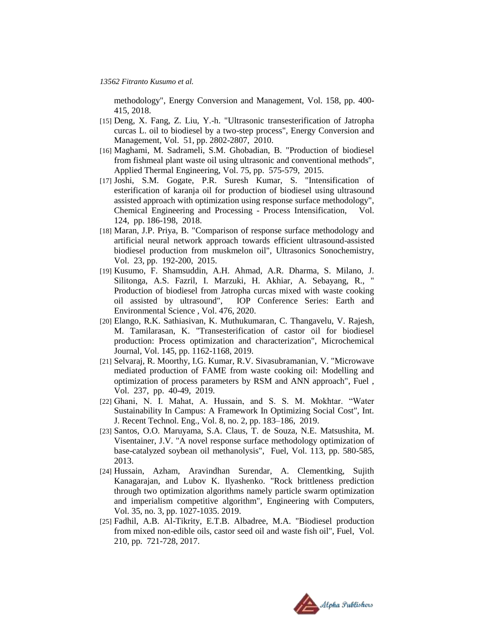methodology", Energy Conversion and Management, Vol. 158, pp. 400- 415, 2018.

- [15] Deng, X. Fang, Z. Liu, Y.-h. "Ultrasonic transesterification of Jatropha curcas L. oil to biodiesel by a two-step process", Energy Conversion and Management, Vol. 51, pp. 2802-2807, 2010.
- [16] Maghami, M. Sadrameli, S.M. Ghobadian, B. "Production of biodiesel from fishmeal plant waste oil using ultrasonic and conventional methods", Applied Thermal Engineering, Vol. 75, pp. 575-579, 2015.
- [17] Joshi, S.M. Gogate, P.R. Suresh Kumar, S. "Intensification of esterification of karanja oil for production of biodiesel using ultrasound assisted approach with optimization using response surface methodology", Chemical Engineering and Processing - Process Intensification, Vol. 124, pp. 186-198, 2018.
- [18] Maran, J.P. Priya, B. "Comparison of response surface methodology and artificial neural network approach towards efficient ultrasound-assisted biodiesel production from muskmelon oil", Ultrasonics Sonochemistry, Vol. 23, pp. 192-200, 2015.
- [19] Kusumo, F. Shamsuddin, A.H. Ahmad, A.R. Dharma, S. Milano, J. Silitonga, A.S. Fazril, I. Marzuki, H. Akhiar, A. Sebayang, R., " Production of biodiesel from Jatropha curcas mixed with waste cooking oil assisted by ultrasound", IOP Conference Series: Earth and Environmental Science , Vol. 476, 2020.
- [20] Elango, R.K. Sathiasivan, K. Muthukumaran, C. Thangavelu, V. Rajesh, M. Tamilarasan, K. "Transesterification of castor oil for biodiesel production: Process optimization and characterization", Microchemical Journal, Vol. 145, pp. 1162-1168, 2019.
- [21] Selvaraj, R. Moorthy, I.G. Kumar, R.V. Sivasubramanian, V. "Microwave mediated production of FAME from waste cooking oil: Modelling and optimization of process parameters by RSM and ANN approach", Fuel , Vol. 237, pp. 40-49, 2019.
- [22] Ghani, N. I. Mahat, A. Hussain, and S. S. M. Mokhtar. "Water Sustainability In Campus: A Framework In Optimizing Social Cost", Int. J. Recent Technol. Eng., Vol. 8, no. 2, pp. 183–186, 2019.
- [23] Santos, O.O. Maruyama, S.A. Claus, T. de Souza, N.E. Matsushita, M. Visentainer, J.V. "A novel response surface methodology optimization of base-catalyzed soybean oil methanolysis", Fuel, Vol. 113, pp. 580-585, 2013.
- [24] Hussain, Azham, Aravindhan Surendar, A. Clementking, Sujith Kanagarajan, and Lubov K. Ilyashenko. "Rock brittleness prediction through two optimization algorithms namely particle swarm optimization and imperialism competitive algorithm", Engineering with Computers, Vol. 35, no. 3, pp. 1027-1035. 2019.
- [25] Fadhil, A.B. Al-Tikrity, E.T.B. Albadree, M.A. "Biodiesel production from mixed non-edible oils, castor seed oil and waste fish oil", Fuel, Vol. 210, pp. 721-728, 2017.

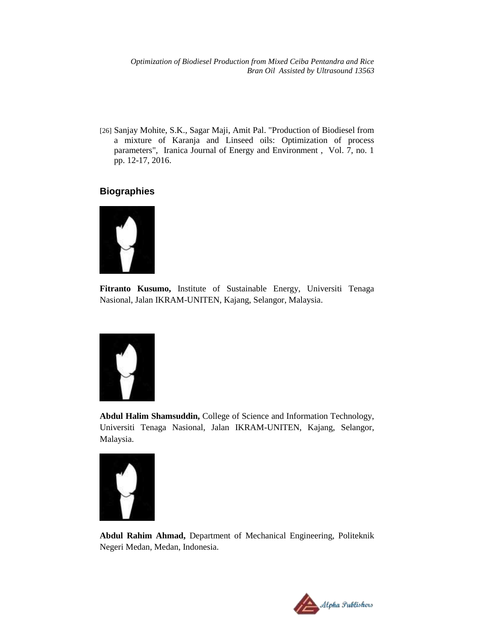[26] Sanjay Mohite, S.K., Sagar Maji, Amit Pal. "Production of Biodiesel from a mixture of Karanja and Linseed oils: Optimization of process parameters", Iranica Journal of Energy and Environment , Vol. 7, no. 1 pp. 12-17, 2016.

## **Biographies**



**Fitranto Kusumo,** Institute of Sustainable Energy, Universiti Tenaga Nasional, Jalan IKRAM-UNITEN, Kajang, Selangor, Malaysia.



**Abdul Halim Shamsuddin,** College of Science and Information Technology, Universiti Tenaga Nasional, Jalan IKRAM-UNITEN, Kajang, Selangor, Malaysia.



**Abdul Rahim Ahmad,** Department of Mechanical Engineering, Politeknik Negeri Medan, Medan, Indonesia.